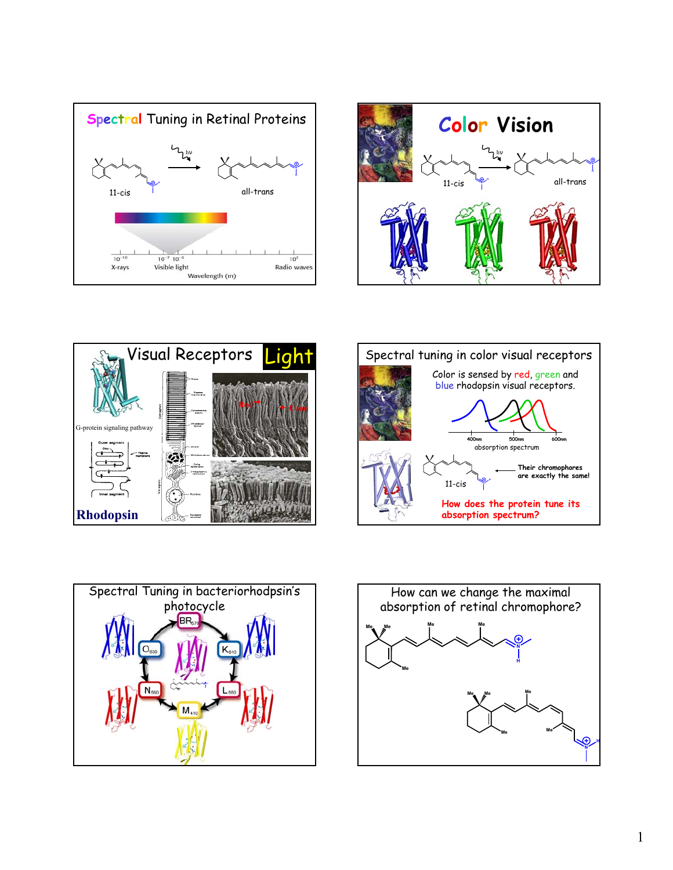









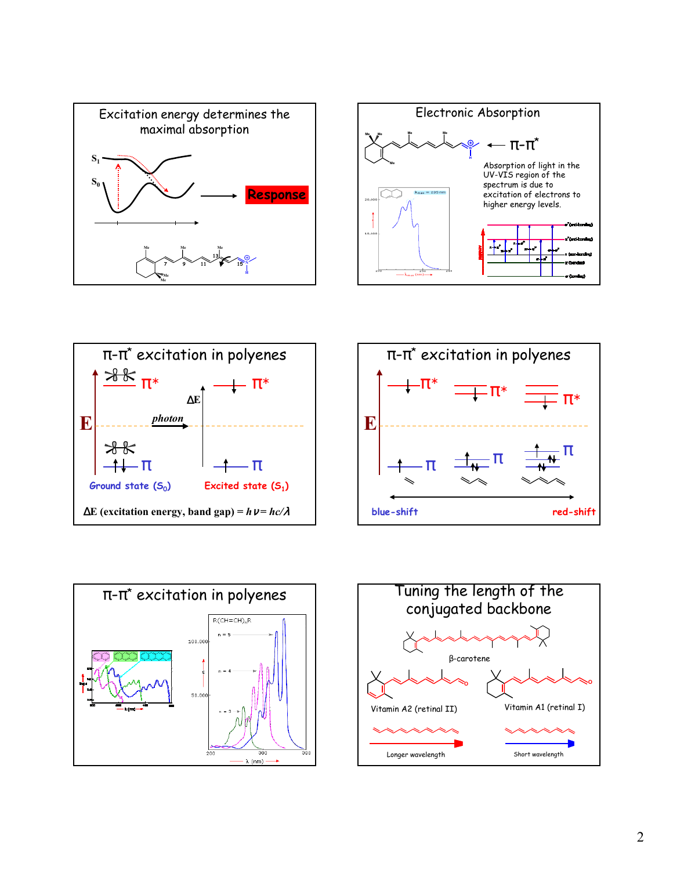









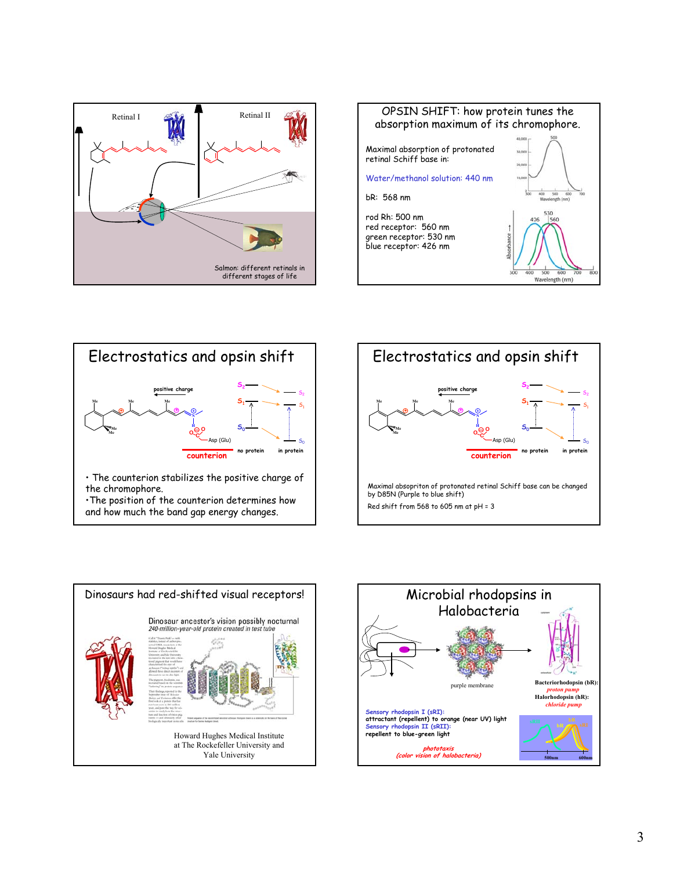





•The position of the counterion determines how and how much the band gap energy changes.





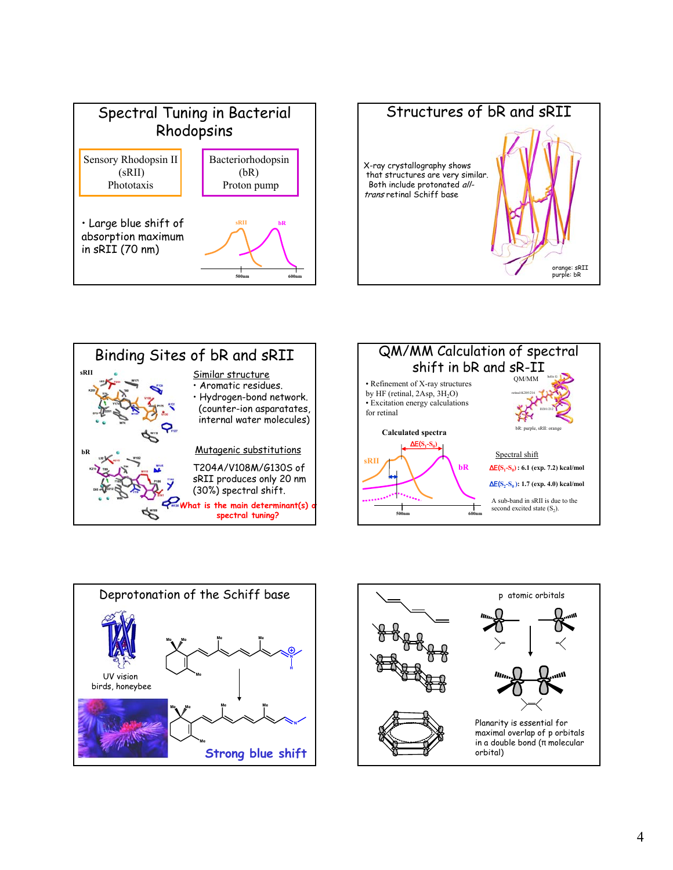